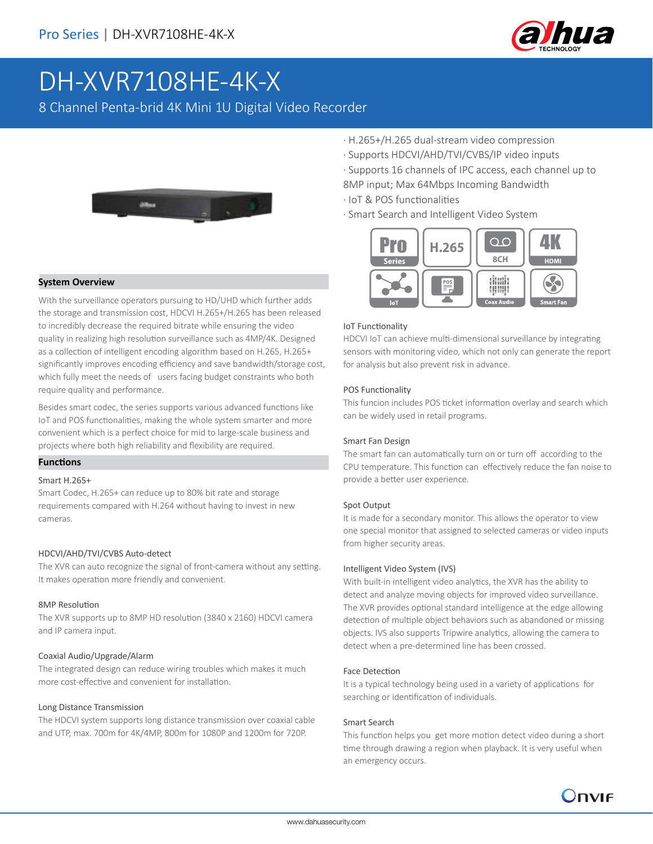

# DH-XVR7108HE-4K-X

8 Channel Penta-brid 4K Mini 1U Digital Video Recorder



#### **System Overview**

With the surveillance operators pursuing to HD/UHD which further adds the storage and transmission cost, HDCVI H.265+/H.265 has been released to incredibly decrease the required bitrate while ensuring the video quality in realizing high resolution surveillance such as 4MP/4K. Designed as a collection of intelligent encoding algorithm based on H.265, H.265+ significantly improves encoding efficiency and save bandwidth/storage cost, which fully meet the needs of users facing budget constraints who both require quality and performance.

Besides smart codec, the series supports various advanced functions like IoT and POS functionalities, making the whole system smarter and more convenient which is a perfect choice for mid to large-scale business and projects where both high reliability and flexibility are required.

#### **Functions**

#### Smart H.265+

Smart Codec, H.265+ can reduce up to 80% bit rate and storage requirements compared with H.264 without having to invest in new cameras.

#### HDCVI/AHD/TVI/CVBS Auto-detect

The XVR can auto recognize the signal of front-camera without any setting. It makes operation more friendly and convenient.

#### 8MP Resolution

The XVR supports up to 8MP HD resolution (3840 x 2160) HDCVI camera and IP camera input.

#### Coaxial Audio/Upgrade/Alarm

The integrated design can reduce wiring troubles which makes it much more cost-effective and convenient for installation.

#### Long Distance Transmission

The HDCVI system supports long distance transmission over coaxial cable and UTP, max. 700m for 4K/4MP, 800m for 1080P and 1200m for 720P.

- · H.265+/H.265 dual-stream video compression
- · Supports HDCVI/AHD/TVI/CVBS/IP video inputs
- · Supports 16 channels of IPC access, each channel up to 8MP input; Max 64Mbps Incoming Bandwidth
- · IoT & POS functionalities
- · Smart Search and Intelligent Video System



#### IoT Functionality

HDCVI IoT can achieve multi-dimensional surveillance by integrating sensors with monitoring video, which not only can generate the report for analysis but also prevent risk in advance.

#### POS Functionality

This funcion includes POS ticket information overlay and search which can be widely used in retail programs.

#### Smart Fan Design

The smart fan can automatically turn on or turn off according to the CPU temperature. This function can effectively reduce the fan noise to provide a better user experience.

#### Spot Output

It is made for a secondary monitor. This allows the operator to view one special monitor that assigned to selected cameras or video inputs from higher security areas.

#### Intelligent Video System (IVS)

With built-in intelligent video analytics, the XVR has the ability to detect and analyze moving objects for improved video surveillance. The XVR provides optional standard intelligence at the edge allowing detection of multiple object behaviors such as abandoned or missing objects. IVS also supports Tripwire analytics, allowing the camera to detect when a pre-determined line has been crossed.

#### Face Detection

It is a typical technology being used in a variety of applications for searching or identification of individuals.

#### Smart Search

This function helps you get more motion detect video during a short time through drawing a region when playback. It is very useful when an emergency occurs.

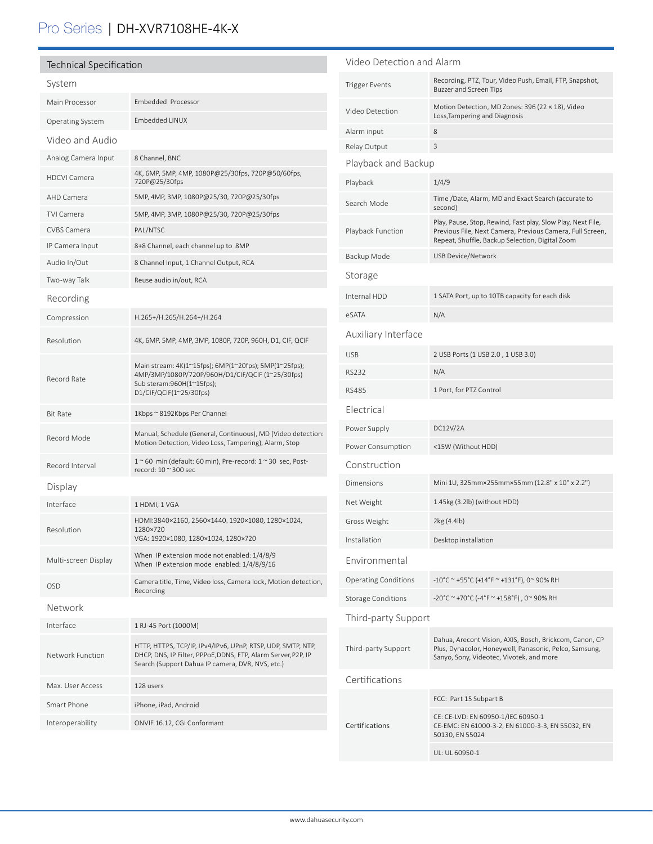## Pro Series | DH-XVR7108HE-4K-X

| <b>Technical Specification</b> |                                                                                                                                                                                                          | Video Detection and Alarm                                                                                                   |                                                                                                                                                                             |                  |
|--------------------------------|----------------------------------------------------------------------------------------------------------------------------------------------------------------------------------------------------------|-----------------------------------------------------------------------------------------------------------------------------|-----------------------------------------------------------------------------------------------------------------------------------------------------------------------------|------------------|
| System                         |                                                                                                                                                                                                          | <b>Trigger Events</b>                                                                                                       | Recording, PTZ, Tour, Video Push, Email, FTP, Snapshot,<br><b>Buzzer and Screen Tips</b>                                                                                    |                  |
| Main Processor                 | Embedded Processor                                                                                                                                                                                       | Video Detection                                                                                                             | Motion Detection, MD Zones: 396 (22 × 18), Video                                                                                                                            |                  |
| Operating System               | Embedded LINUX                                                                                                                                                                                           |                                                                                                                             | Loss, Tampering and Diagnosis                                                                                                                                               |                  |
| Video and Audio                |                                                                                                                                                                                                          | Alarm input<br>Relay Output                                                                                                 | 8<br>3                                                                                                                                                                      |                  |
| Analog Camera Input            | 8 Channel, BNC                                                                                                                                                                                           | Playback and Backup                                                                                                         |                                                                                                                                                                             |                  |
| <b>HDCVI Camera</b>            | 4K, 6MP, 5MP, 4MP, 1080P@25/30fps, 720P@50/60fps,                                                                                                                                                        |                                                                                                                             |                                                                                                                                                                             |                  |
| AHD Camera                     | 720P@25/30fps<br>5MP, 4MP, 3MP, 1080P@25/30, 720P@25/30fps                                                                                                                                               | Playback                                                                                                                    | 1/4/9                                                                                                                                                                       |                  |
| <b>TVI Camera</b>              | 5MP, 4MP, 3MP, 1080P@25/30, 720P@25/30fps                                                                                                                                                                | Search Mode                                                                                                                 | Time /Date, Alarm, MD and Exact Search (accurate to<br>second)                                                                                                              |                  |
| <b>CVBS Camera</b>             | PAL/NTSC                                                                                                                                                                                                 | Playback Function                                                                                                           | Play, Pause, Stop, Rewind, Fast play, Slow Play, Next File,<br>Previous File, Next Camera, Previous Camera, Full Screen,<br>Repeat, Shuffle, Backup Selection, Digital Zoom |                  |
| IP Camera Input                | 8+8 Channel, each channel up to 8MP                                                                                                                                                                      |                                                                                                                             |                                                                                                                                                                             |                  |
| Audio In/Out                   | 8 Channel Input, 1 Channel Output, RCA                                                                                                                                                                   | Backup Mode                                                                                                                 | USB Device/Network                                                                                                                                                          |                  |
| Two-way Talk                   | Reuse audio in/out, RCA                                                                                                                                                                                  | Storage                                                                                                                     |                                                                                                                                                                             |                  |
| Recording                      |                                                                                                                                                                                                          | Internal HDD                                                                                                                | 1 SATA Port, up to 10TB capacity for each disk                                                                                                                              |                  |
| Compression                    | H.265+/H.265/H.264+/H.264                                                                                                                                                                                | eSATA                                                                                                                       | N/A                                                                                                                                                                         |                  |
| Resolution                     | 4K, 6MP, 5MP, 4MP, 3MP, 1080P, 720P, 960H, D1, CIF, QCIF                                                                                                                                                 | Auxiliary Interface                                                                                                         |                                                                                                                                                                             |                  |
|                                | Main stream: 4K(1~15fps); 6MP(1~20fps); 5MP(1~25fps);<br>4MP/3MP/1080P/720P/960H/D1/CIF/QCIF (1~25/30fps)<br>Sub steram:960H(1~15fps);<br>D1/CIF/QCIF(1~25/30fps)                                        | <b>USB</b>                                                                                                                  | 2 USB Ports (1 USB 2.0, 1 USB 3.0)                                                                                                                                          |                  |
|                                |                                                                                                                                                                                                          | <b>RS232</b>                                                                                                                | N/A                                                                                                                                                                         |                  |
| Record Rate                    |                                                                                                                                                                                                          | <b>RS485</b>                                                                                                                | 1 Port, for PTZ Control                                                                                                                                                     |                  |
| <b>Bit Rate</b>                | 1Kbps ~ 8192Kbps Per Channel                                                                                                                                                                             | Electrical                                                                                                                  |                                                                                                                                                                             |                  |
| Record Mode                    | Manual, Schedule (General, Continuous), MD (Video detection:<br>Motion Detection, Video Loss, Tampering), Alarm, Stop                                                                                    | Power Supply                                                                                                                | DC12V/2A                                                                                                                                                                    |                  |
|                                |                                                                                                                                                                                                          | Power Consumption                                                                                                           | <15W (Without HDD)                                                                                                                                                          |                  |
| Record Interval                | $1~$ ~60 min (default: 60 min), Pre-record: $1~$ ~30 sec, Post-<br>record: $10 \approx 300$ sec                                                                                                          | Construction                                                                                                                |                                                                                                                                                                             |                  |
| Display                        |                                                                                                                                                                                                          | Dimensions                                                                                                                  | Mini 1U, 325mm×255mm×55mm (12.8" x 10" x 2.2")                                                                                                                              |                  |
| Interface                      | 1 HDMI, 1 VGA                                                                                                                                                                                            | Net Weight                                                                                                                  | 1.45kg (3.2lb) (without HDD)                                                                                                                                                |                  |
| Resolution                     | HDMI:3840×2160, 2560×1440, 1920×1080, 1280×1024,<br>1280×720<br>VGA: 1920×1080, 1280×1024, 1280×720                                                                                                      | Gross Weight                                                                                                                | 2kg (4.4lb)                                                                                                                                                                 |                  |
|                                |                                                                                                                                                                                                          | Installation                                                                                                                | Desktop installation                                                                                                                                                        |                  |
| Multi-screen Display           | When IP extension mode not enabled: 1/4/8/9<br>When IP extension mode enabled: 1/4/8/9/16                                                                                                                | Environmental                                                                                                               |                                                                                                                                                                             |                  |
| <b>OSD</b>                     | Camera title, Time, Video loss, Camera lock, Motion detection,                                                                                                                                           | <b>Operating Conditions</b>                                                                                                 | -10°C ~ +55°C (+14°F ~ +131°F), 0~ 90% RH                                                                                                                                   |                  |
|                                | Recording                                                                                                                                                                                                | <b>Storage Conditions</b>                                                                                                   | -20°C ~ +70°C (-4°F ~ +158°F), 0~90% RH                                                                                                                                     |                  |
| Network                        |                                                                                                                                                                                                          | Third-party Support                                                                                                         |                                                                                                                                                                             |                  |
| Interface<br>Network Function  | 1 RJ-45 Port (1000M)<br>HTTP, HTTPS, TCP/IP, IPv4/IPv6, UPnP, RTSP, UDP, SMTP, NTP,<br>DHCP, DNS, IP Filter, PPPoE, DDNS, FTP, Alarm Server, P2P, IP<br>Search (Support Dahua IP camera, DVR, NVS, etc.) | Third-party Support                                                                                                         | Dahua, Arecont Vision, AXIS, Bosch, Brickcom, Canon, CP<br>Plus, Dynacolor, Honeywell, Panasonic, Pelco, Samsung,<br>Sanyo, Sony, Videotec, Vivotek, and more               |                  |
|                                |                                                                                                                                                                                                          |                                                                                                                             |                                                                                                                                                                             | Max. User Access |
| Smart Phone                    | iPhone, iPad, Android                                                                                                                                                                                    |                                                                                                                             | FCC: Part 15 Subpart B                                                                                                                                                      |                  |
| Interoperability               | ONVIF 16.12, CGI Conformant                                                                                                                                                                              | CE: CE-LVD: EN 60950-1/IEC 60950-1<br>Certifications<br>CE-EMC: EN 61000-3-2, EN 61000-3-3, EN 55032, EN<br>50130, EN 55024 |                                                                                                                                                                             |                  |
|                                |                                                                                                                                                                                                          |                                                                                                                             |                                                                                                                                                                             |                  |
|                                |                                                                                                                                                                                                          |                                                                                                                             | UL: UL 60950-1                                                                                                                                                              |                  |

www.dahuasecurity.com